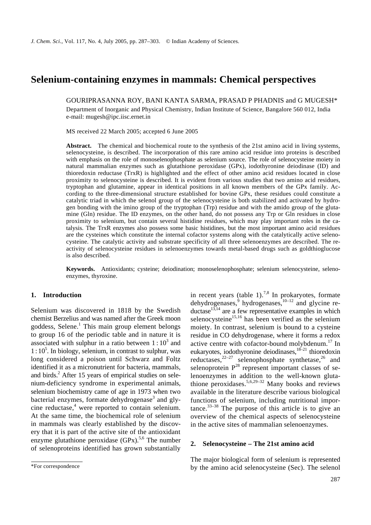# **Selenium-containing enzymes in mammals: Chemical perspectives**

GOURIPRASANNA ROY, BANI KANTA SARMA, PRASAD P PHADNIS and G MUGESH\* Department of Inorganic and Physical Chemistry, Indian Institute of Science, Bangalore 560 012, India e-mail: mugesh@ipc.iisc.ernet.in

MS received 22 March 2005; accepted 6 June 2005

**Abstract.** The chemical and biochemical route to the synthesis of the 21st amino acid in living systems, selenocysteine, is described. The incorporation of this rare amino acid residue into proteins is described with emphasis on the role of monoselenophosphate as selenium source. The role of selenocysteine moiety in natural mammalian enzymes such as glutathione peroxidase (GPx), iodothyronine deiodinase (ID) and thioredoxin reductase (TrxR) is highlighted and the effect of other amino acid residues located in close proximity to selenocysteine is described. It is evident from various studies that two amino acid residues, tryptophan and glutamine, appear in identical positions in all known members of the GPx family. According to the three-dimensional structure established for bovine GPx, these residues could constitute a catalytic triad in which the selenol group of the selenocysteine is both stabilized and activated by hydrogen bonding with the imino group of the tryptophan (Trp) residue and with the amido group of the glutamine (Gln) residue. The ID enzymes, on the other hand, do not possess any Trp or Gln residues in close proximity to selenium, but contain several histidine residues, which may play important roles in the catalysis. The TrxR enzymes also possess some basic histidines, but the most important amino acid residues are the cysteines which constitute the internal cofactor systems along with the catalytically active selenocysteine. The catalytic activity and substrate specificity of all three selenoenzymes are described. The reactivity of selenocysteine residues in selenoenzymes towards metal-based drugs such as goldthioglucose is also described.

**Keywords.** Antioxidants; cysteine; deiodination; monoselenophosphate; selenium selenocysteine, selenoenzymes, thyroxine.

## **1. Introduction**

Selenium was discovered in 1818 by the Swedish chemist Berzelius and was named after the Greek moon goddess, Selene.<sup>1</sup> This main group element belongs to group 16 of the periodic table and in nature it is associated with sulphur in a ratio between  $1:10^3$  and  $1:10<sup>5</sup>$ . In biology, selenium, in contrast to sulphur, was long considered a poison until Schwarz and Foltz identified it as a micronutrient for bacteria, mammals, and birds.<sup>2</sup> After 15 years of empirical studies on selenium-deficiency syndrome in experimental animals, selenium biochemistry came of age in 1973 when two bacterial enzymes, formate dehydrogenase<sup>3</sup> and glycine reductase,<sup>4</sup> were reported to contain selenium. At the same time, the biochemical role of selenium in mammals was clearly established by the discovery that it is part of the active site of the antioxidant enzyme glutathione peroxidase  $(GPx)$ <sup>5,6</sup> The number of selenoproteins identified has grown substantially

in recent years (table 1).<sup>7,8</sup> In prokaryotes, formate dehydrogenases,  $9$  hydrogenases,  $10-12$  and glycine reductase $^{13,14}$  are a few representative examples in which selenocysteine $15,16$  has been verified as the selenium moiety. In contrast, selenium is bound to a cysteine residue in CO dehydrogenase, where it forms a redox active centre with cofactor-bound molybdenum.<sup>17</sup> In eukaryotes, iodothyronine deiodinases,  $18-21$  thioredoxin reductases, $2^{2-27}$  selenophosphate synthetase, $2^{26}$  and selenoprotein  $P^{28}$  represent important classes of selenoenzymes in addition to the well-known glutathione peroxidases.<sup>5,6,29–32</sup> Many books and reviews available in the literature describe various biological functions of selenium, including nutritional importance. $33-38$  The purpose of this article is to give an overview of the chemical aspects of selenocysteine in the active sites of mammalian selenoenzymes.

## **2. Selenocysteine – The 21st amino acid**

The major biological form of selenium is represented by the amino acid selenocysteine (Sec). The selenol

<sup>\*</sup>For correspondence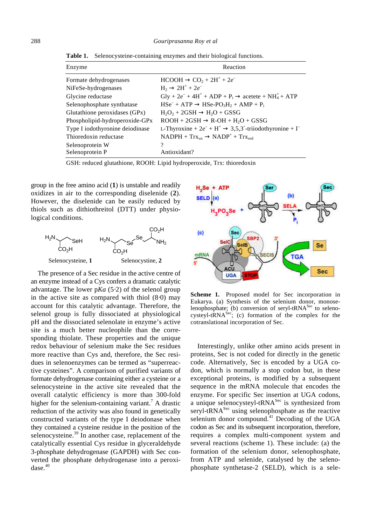| Enzyme                          | Reaction                                                                                                            |
|---------------------------------|---------------------------------------------------------------------------------------------------------------------|
| Formate dehydrogenases          | $HCOOH \rightarrow CO2 + 2H+ + 2e-$                                                                                 |
| NiFeSe-hydrogenases             | $H_2 \rightarrow 2H^+ + 2e^-$                                                                                       |
| Glycine reductase               | $\text{Gly} + 2e^- + 4\text{H}^+ + \text{ADP} + \text{P}_i \rightarrow \text{acetete} + \text{NH}_4^+ + \text{ATP}$ |
| Selenophosphate synthatase      | $HSe^{-} + ATP \rightarrow HSe-PO_{3}H_{2} +AMP + P_{1}$                                                            |
| Glutathione peroxidases (GPx)   | $H_2O_2 + 2GSH \rightarrow H_2O + GSSG$                                                                             |
| Phospholipid-hydroperoxide-GPx  | $ROOH + 2GSH \rightarrow R-OH + H2O + GSSG$                                                                         |
| Type I iodothyronine deiodinase | L-Thyroxine + $2e^-$ + H <sup>+</sup> $\rightarrow$ 3,5,3'-triiodothyronine + I <sup>-</sup>                        |
| Thioredoxin reductase           | $NADPH + Trx_{ox} \rightarrow NADP^+ + Trx_{red}$                                                                   |
| Selenoprotein W                 | ?                                                                                                                   |
| Selenoprotein P                 | Antioxidant?                                                                                                        |

**Table 1.** Selenocysteine-containing enzymes and their biological functions.

GSH: reduced glutathione, ROOH: Lipid hydroperoxide, Trx: thioredoxin

group in the free amino acid (**1**) is unstable and readily oxidizes in air to the corresponding diselenide (**2**). However, the diselenide can be easily reduced by thiols such as dithiothreitol (DTT) under physiological conditions.



The presence of a Sec residue in the active centre of an enzyme instead of a Cys confers a dramatic catalytic advantage. The lower p*Ka* (5⋅2) of the selenol group in the active site as compared with thiol (8⋅0) may account for this catalytic advantage. Therefore, the selenol group is fully dissociated at physiological pH and the dissociated selenolate in enzyme's active site is a much better nucleophile than the corresponding thiolate. These properties and the unique redox behaviour of selenium make the Sec residues more reactive than Cys and, therefore, the Sec residues in selenoenzymes can be termed as "superreactive cysteines". A comparison of purified variants of formate dehydrogenase containing either a cysteine or a selenocysteine in the active site revealed that the overall catalytic efficiency is more than 300-fold higher for the selenium-containing variant.<sup>7</sup> A drastic reduction of the activity was also found in genetically constructed variants of the type I deiodonase when they contained a cysteine residue in the position of the selenocysteine.<sup>39</sup> In another case, replacement of the catalytically essential Cys residue in glyceraldehyde 3-phosphate dehydrogenase (GAPDH) with Sec converted the phosphate dehydrogenase into a peroxidase. $40$ 



**Scheme 1.** Proposed model for Sec incorporation in Eukarya. (a) Synthesis of the selenium donor, monoselenophosphate; (b) conversion of seryl-tRNA<sup>Sec</sup> to selenocysteyl-t $\text{RNA}^{\text{Sec}}$ ; (c) formation of the complex for the cotranslational incorporation of Sec.

Interestingly, unlike other amino acids present in proteins, Sec is not coded for directly in the genetic code. Alternatively, Sec is encoded by a UGA codon, which is normally a stop codon but, in these exceptional proteins, is modified by a subsequent sequence in the mRNA molecule that encodes the enzyme. For specific Sec insertion at UGA codons, a unique selenocysteyl-tRNA<sup>Sec</sup> is synthesized from seryl-tRNA<sup>Sec</sup> using selenophosphate as the reactive selenium donor compound. $41$  Decoding of the UGA codon as Sec and its subsequent incorporation, therefore, requires a complex multi-component system and several reactions (scheme 1). These include: (a) the formation of the selenium donor, selenophosphate, from ATP and selenide, catalysed by the selenophosphate synthetase-2 (SELD), which is a sele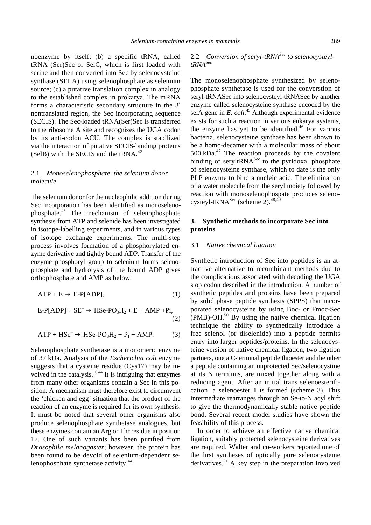noenzyme by itself; (b) a specific tRNA, called tRNA (Ser)Sec or SelC, which is first loaded with serine and then converted into Sec by selenocysteine synthase (SELA) using selenophosphate as selenium source; (c) a putative translation complex in analogy to the established complex in prokarya. The mRNA forms a characteristic secondary structure in the 3′ nontranslated region, the Sec incorporating sequence (SECIS). The Sec-loaded tRNA(Ser)Sec is transferred to the ribosome A site and recognizes the UGA codon by its anti-codon ACU. The complex is stabilized via the interaction of putative SECIS-binding proteins (SelB) with the SECIS and the tRNA.<sup>42</sup>

# 2.1 *Monoselenophosphate, the selenium donor molecule*

The selenium donor for the nucleophilic addition during Sec incorporation has been identified as monoselenophosphate.<sup>43</sup> The mechanism of selenophosphate synthesis from ATP and selenide has been investigated in isotope-labelling experiments, and in various types of isotope exchange experiments. The multi-step process involves formation of a phosphorylated enzyme derivative and tightly bound ADP. Transfer of the enzyme phosphoryl group to selenium forms selenophosphate and hydrolysis of the bound ADP gives orthophosphate and AMP as below.

$$
ATP + E \rightarrow E-P[ADP], \tag{1}
$$

$$
E-P[ADP] + SE^- \rightarrow HSe-PO3H2 + E + AMP + Pi,
$$
\n(2)

$$
ATP + HSe^- \rightarrow HSe-PO_3H_2 + P_I + AMP.
$$
 (3)

Selenophosphate synthetase is a monomeric enzyme of 37 kDa. Analysis of the *Escherichia coli* enzyme suggests that a cysteine residue (Cys17) may be involved in the catalysis.<sup>16,44</sup> It is intriguing that enzymes from many other organisms contain a Sec in this position. A mechanism must therefore exist to circumvent the 'chicken and egg' situation that the product of the reaction of an enzyme is required for its own synthesis. It must be noted that several other organisms also produce selenophosphate synthetase analogues, but these enzymes contain an Arg or Thr residue in position 17. One of such variants has been purified from *Drosophila melanogaster*; however, the protein has been found to be devoid of selenium-dependent selenophosphate synthetase activity.<sup>44</sup>

# 2.2 *Conversion of seryl-tRNASec to selenocysteyltRNASec*

The monoselenophosphate synthesized by selenophosphate synthetase is used for the converstion of seryl-tRNASec into selenocysteyl-tRNASec by another enzyme called selenocysteine synthase encoded by the selA gene in *E. coli.*<sup>45</sup> Although experimental evidence exists for such a reaction in various eukarya systems, the enzyme has yet to be identified.<sup>46</sup> For various bacteria, selenocysteine synthase has been shown to be a homo-decamer with a molecular mass of about  $500$  kDa. $^{47}$  The reaction proceeds by the covalent binding of serylt $\mathbb{R}$ NA<sup>Sec</sup> to the pyridoxal phosphate of selenocysteine synthase, which to date is the only PLP enzyme to bind a nucleic acid. The elimination of a water molecule from the seryl moiety followed by reaction with monoselenophospate produces selenocysteyl-tRNA<sup>Sec</sup> (scheme 2).<sup>48,49</sup>

# **3. Synthetic methods to incorporate Sec into proteins**

#### 3.1 *Native chemical ligation*

Synthetic introduction of Sec into peptides is an attractive alternative to recombinant methods due to the complications associated with decoding the UGA stop codon described in the introduction. A number of synthetic peptides and proteins have been prepared by solid phase peptide synthesis (SPPS) that incorporated selenocysteine by using Boc- or Fmoc-Sec  $(PMB)$ -OH.<sup>50</sup> By using the native chemical ligation technique the ability to synthetically introduce a free selenol (or diselenide) into a peptide permits entry into larger peptides/proteins. In the selenocysteine version of native chemical ligation, two ligation partners, one a C-terminal peptide thioester and the other a peptide containing an unprotected Sec/selenocystine at its N terminus, are mixed together along with a reducing agent. After an initial trans selenoesterification, a selenoester **1** is formed (scheme 3). This intermediate rearranges through an Se-to-N acyl shift to give the thermodynamically stable native peptide bond. Several recent model studies have shown the feasibility of this process.

In order to achieve an effective native chemical ligation, suitably protected selenocysteine derivatives are required. Walter and co-workers reported one of the first syntheses of optically pure selenocysteine derivatives.<sup>51</sup> A key step in the preparation involved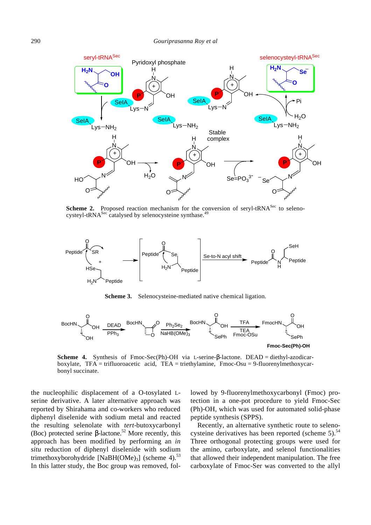

**Scheme 2.** Proposed reaction mechanism for the conversion of seryl-tRNA<sup>Sec</sup> to selenocysteyl-tRNA<sup>Sec</sup> catalysed by selenocysteine synthase.<sup>49</sup>



**Scheme 3.** Selenocysteine-mediated native chemical ligation.



**Scheme 4.** Synthesis of Fmoc-Sec(Ph)-OH via L-serine-*b*-lactone. DEAD = diethyl-azodicarboxylate, TFA = trifluoroacetic acid, TEA = triethylamine, Fmoc-Osu = 9-fluorenylmethoxycarbonyl succinate.

the nucleophilic displacement of a O-tosylated Lserine derivative. A later alternative approach was reported by Shirahama and co-workers who reduced diphenyl diselenide with sodium metal and reacted the resulting selenolate with *tert*-butoxycarbonyl (Boc) protected serine **-lactone.<sup>52</sup> More recently, this** approach has been modified by performing an *in situ* reduction of diphenyl diselenide with sodium trimethoxyborohydride [NaBH(OMe)<sub>3</sub>] (scheme 4).<sup>53</sup> In this latter study, the Boc group was removed, followed by 9-fluorenylmethoxycarbonyl (Fmoc) protection in a one-pot procedure to yield Fmoc-Sec (Ph)-OH, which was used for automated solid-phase peptide synthesis (SPPS).

Recently, an alternative synthetic route to selenocysteine derivatives has been reported (scheme  $5$ ).<sup>54</sup> Three orthogonal protecting groups were used for the amino, carboxylate, and selenol functionalities that allowed their independent manipulation. The free carboxylate of Fmoc-Ser was converted to the allyl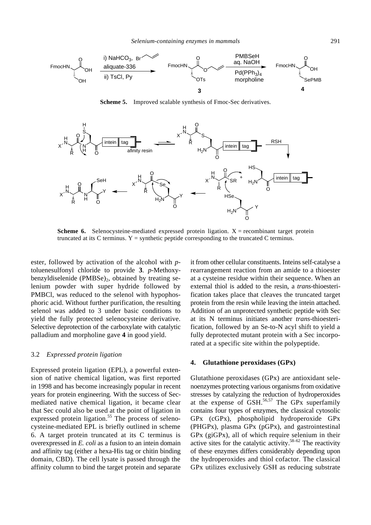

**Scheme 5.** Improved scalable synthesis of Fmoc-Sec derivatives.



**Scheme 6.** Selenocysteine-mediated expressed protein ligation.  $X =$  recombinant target protein truncated at its C terminus.  $Y =$  synthetic peptide corresponding to the truncated C terminus.

ester, followed by activation of the alcohol with *p*toluenesulfonyl chloride to provide **3**. *p*-Methoxybenzyldiselenide (PMBSe) $_2$ , obtained by treating selenium powder with super hydride followed by PMBCl, was reduced to the selenol with hypophosphoric acid. Without further purification, the resulting selenol was added to 3 under basic conditions to yield the fully protected selenocysteine derivative. Selective deprotection of the carboxylate with catalytic palladium and morpholine gave **4** in good yield.

#### 3.2 *Expressed protein ligation*

Expressed protein ligation (EPL), a powerful extension of native chemical ligation, was first reported in 1998 and has become increasingly popular in recent years for protein engineering. With the success of Secmediated native chemical ligation, it became clear that Sec could also be used at the point of ligation in expressed protein ligation.<sup>55</sup> The process of selenocysteine-mediated EPL is briefly outlined in scheme 6. A target protein truncated at its C terminus is overexpressed in *E. coli* as a fusion to an intein domain and affinity tag (either a hexa-His tag or chitin binding domain, CBD). The cell lysate is passed through the affinity column to bind the target protein and separate

it from other cellular constituents. Inteins self-catalyse a rearrangement reaction from an amide to a thioester at a cysteine residue within their sequence. When an external thiol is added to the resin, a *trans*-thioesterification takes place that cleaves the truncated target protein from the resin while leaving the intein attached. Addition of an unprotected synthetic peptide with Sec at its N terminus initiates another *trans*-thioesterification, followed by an Se-to-N acyl shift to yield a fully deprotected mutant protein with a Sec incorporated at a specific site within the polypeptide.

#### **4. Glutathione peroxidases (GPx)**

Glutathione peroxidases (GPx) are antioxidant selenoenzymes protecting various organisms from oxidative stresses by catalyzing the reduction of hydroperoxides at the expense of  $\ddot{\text{GSH}}$ .<sup>56,57</sup> The GPx superfamily contains four types of enzymes, the classical cytosolic GPx (cGPx), phospholipid hydroperoxide GPx (PHGPx), plasma GPx (pGPx), and gastrointestinal GPx (giGPx), all of which require selenium in their active sites for the catalytic activity.<sup>58-62</sup> The reactivity of these enzymes differs considerably depending upon the hydroperoxides and thiol cofactor. The classical GPx utilizes exclusively GSH as reducing substrate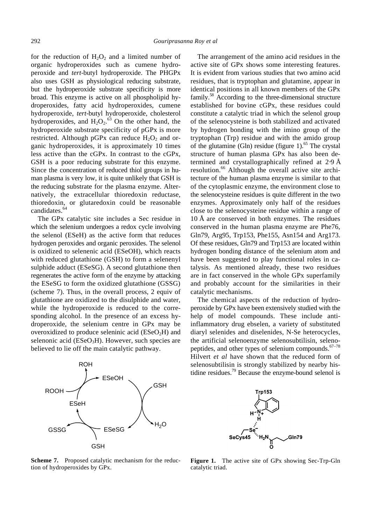for the reduction of  $H_2O_2$  and a limited number of organic hydroperoxides such as cumene hydroperoxide and *tert*-butyl hydroperoxide. The PHGPx also uses GSH as physiological reducing substrate, but the hydroperoxide substrate specificity is more broad. This enzyme is active on all phospholipid hydroperoxides, fatty acid hydroperoxides, cumene hydroperoxide, *tert*-butyl hydroperoxide, cholesterol hydroperoxides, and  $H_2O_2$ .<sup>63</sup> On the other hand, the hydroperoxide substrate specificity of pGPx is more restricted. Although pGPx can reduce  $H_2O_2$  and organic hydroperoxides, it is approximately 10 times less active than the cGPx. In contrast to the cGPx, GSH is a poor reducing substrate for this enzyme. Since the concentration of reduced thiol groups in human plasma is very low, it is quite unlikely that GSH is the reducing substrate for the plasma enzyme. Alternatively, the extracellular thioredoxin reductase, thioredoxin, or glutaredoxin could be reasonable candidates.<sup>64</sup>

The GPx catalytic site includes a Sec residue in which the selenium undergoes a redox cycle involving the selenol (ESeH) as the active form that reduces hydrogen peroxides and organic peroxides. The selenol is oxidized to selenenic acid (ESeOH), which reacts with reduced glutathione (GSH) to form a selenenyl sulphide adduct (ESeSG). A second glutathione then regenerates the active form of the enzyme by attacking the ESeSG to form the oxidized glutathione (GSSG) (scheme 7). Thus, in the overall process, 2 equiv of glutathione are oxidized to the disulphide and water, while the hydroperoxide is reduced to the corresponding alcohol. In the presence of an excess hydroperoxide, the selenium centre in GPx may be overoxidized to produce seleninic acid  $(ESeO<sub>2</sub>H)$  and selenonic acid ( $E$ SeO<sub>3</sub>H). However, such species are believed to lie off the main catalytic pathway.



**Scheme 7.** Proposed catalytic mechanism for the reduction of hydroperoxides by GPx.

The arrangement of the amino acid residues in the active site of GPx shows some interesting features. It is evident from various studies that two amino acid residues, that is tryptophan and glutamine, appear in identical positions in all known members of the GPx family.<sup>58</sup> According to the three-dimensional structure established for bovine cGPx, these residues could constitute a catalytic triad in which the selenol group of the selenocysteine is both stabilized and activated by hydrogen bonding with the imino group of the tryptophan (Trp) residue and with the amido group of the glutamine (Gln) residue (figure 1). $^{65}$  The crystal structure of human plasma GPx has also been determined and crystallographically refined at 2⋅9 Å resolution.<sup>66</sup> Although the overall active site architecture of the human plasma enzyme is similar to that of the cytoplasmic enzyme, the environment close to the selenocysteine residues is quite different in the two enzymes. Approximately only half of the residues close to the selenocysteine residue within a range of 10 Å are conserved in both enzymes. The residues conserved in the human plasma enzyme are Phe76, Gln79, Arg95, Trp153, Phe155, Asn154 and Arg173. Of these residues, Gln79 and Trp153 are located within hydrogen bonding distance of the selenium atom and have been suggested to play functional roles in catalysis. As mentioned already, these two residues are in fact conserved in the whole GPx superfamily and probably account for the similarities in their catalytic mechanisms.

The chemical aspects of the reduction of hydroperoxide by GPx have been extensively studied with the help of model compounds. These include antiinflammatory drug ebselen, a variety of substituted diaryl selenides and diselenides, N-Se heterocycles, the artificial selenoenzyme selenosubtilisin, selenopeptides, and other types of selenium compounds. $67-78$ Hilvert *et al* have shown that the reduced form of selenosubtilisin is strongly stabilized by nearby histidine residues.<sup>79</sup> Because the enzyme-bound selenol is



**Figure 1.** The active site of GPx showing Sec-Trp-Gln catalytic triad.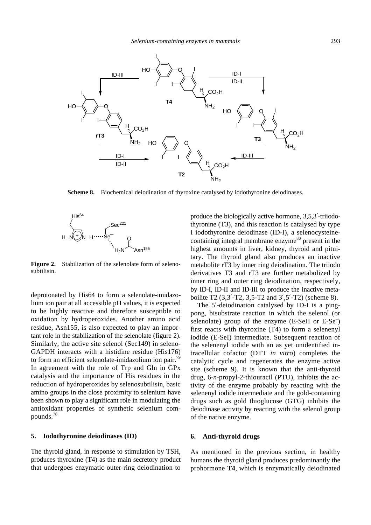

**Scheme 8.** Biochemical deiodination of thyroxine catalysed by iodothyronine deiodinases.



**Figure 2.** Stabilization of the selenolate form of selenosubtilisin.

deprotonated by His64 to form a selenolate-imidazolium ion pair at all accessible pH values, it is expected to be highly reactive and therefore susceptible to oxidation by hydroperoxides. Another amino acid residue, Asn155, is also expected to play an important role in the stabilization of the selenolate (figure 2). Similarly, the active site selenol (Sec149) in seleno-GAPDH interacts with a histidine residue (His176) to form an efficient selenolate-imidazolium ion pair.<sup>79</sup> In agreement with the role of Trp and Gln in GPx catalysis and the importance of His residues in the reduction of hydroperoxides by selenosubtilisin, basic amino groups in the close proximity to selenium have been shown to play a significant role in modulating the antioxidant properties of synthetic selenium compounds.<sup>78</sup>

## **5. Iodothyronine deiodinases (ID)**

The thyroid gland, in response to stimulation by TSH, produces thyroxine (T4) as the main secretory product that undergoes enzymatic outer-ring deiodination to produce the biologically active hormone, 3,5,3′-triiodothyronine (T3), and this reaction is catalysed by type I iodothyronine deiodinase (ID-I), a selenocysteinecontaining integral membrane enzyme<sup>80</sup> present in the highest amounts in liver, kidney, thyroid and pituitary. The thyroid gland also produces an inactive metabolite rT3 by inner ring deiodination. The triiodo derivatives T3 and rT3 are further metabolized by inner ring and outer ring deiodination, respectively, by ID-I, ID-II and ID-III to produce the inactive metaboilite T2 (3,3′-T2, 3,5-T2 and 3′,5′-T2) (scheme 8).

The 5′-deiodination catalysed by ID-I is a pingpong, bisubstrate reaction in which the selenol (or selenolate) group of the enzyme (E-SeH or E-Se<sup>-</sup>) first reacts with thyroxine (T4) to form a selenenyl iodide (E-SeI) intermediate. Subsequent reaction of the selenenyl iodide with an as yet unidentified intracellular cofactor (DTT *in vitro*) completes the catalytic cycle and regenerates the enzyme active site (scheme 9). It is known that the anti-thyroid drug, 6-*n*-propyl-2-thiouracil (PTU), inhibits the activity of the enzyme probably by reacting with the selenenyl iodide intermediate and the gold-containing drugs such as gold thioglucose (GTG) inhibits the deiodinase activity by reacting with the selenol group of the native enzyme.

## **6. Anti-thyroid drugs**

As mentioned in the previous section, in healthy humans the thyroid gland produces predominantly the prohormone **T4**, which is enzymatically deiodinated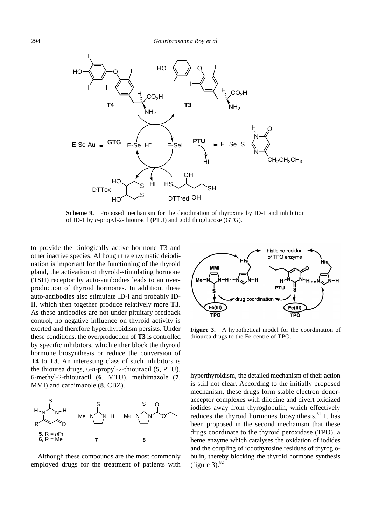

**Scheme 9.** Proposed mechanism for the deiodination of thyroxine by ID-1 and inhibition of ID-1 by *n*-propyl-2-thiouracil (PTU) and gold thioglucose (GTG).

to provide the biologically active hormone T3 and other inactive species. Although the enzymatic deiodination is important for the functioning of the thyroid gland, the activation of thyroid-stimulating hormone (TSH) receptor by auto-antibodies leads to an overproduction of thyroid hormones. In addition, these auto-antibodies also stimulate ID-I and probably ID-II, which then together produce relatively more **T3**. As these antibodies are not under pituitary feedback control, no negative influence on thyroid activity is exerted and therefore hyperthyroidism persists. Under these conditions, the overproduction of **T3** is controlled by specific inhibitors, which either block the thyroid hormone biosynthesis or reduce the conversion of **T4** to **T3**. An interesting class of such inhibitors is the thiourea drugs, 6-*n*-propyl-2-thiouracil (**5**, PTU), 6-methyl-2-thiouracil (**6**, MTU), methimazole (**7**, MMI) and carbimazole (**8**, CBZ).



Although these compounds are the most commonly employed drugs for the treatment of patients with



**Figure 3.** A hypothetical model for the coordination of thiourea drugs to the Fe-centre of TPO.

hyperthyroidism, the detailed mechanism of their action is still not clear. According to the initially proposed mechanism, these drugs form stable electron donoracceptor complexes with diiodine and divert oxidized iodides away from thyroglobulin, which effectively reduces the thyroid hormones biosynthesis. $81$  It has been proposed in the second mechanism that these drugs coordinate to the thyroid peroxidase (TPO), a heme enzyme which catalyses the oxidation of iodides and the coupling of iodothyrosine residues of thyroglobulin, thereby blocking the thyroid hormone synthesis (figure 3). $82$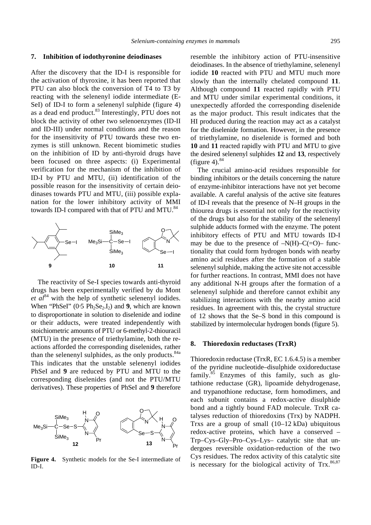#### **7. Inhibition of iodothyronine deiodinases**

After the discovery that the ID-I is responsible for the activation of thyroxine, it has been reported that PTU can also block the conversion of T4 to T3 by reacting with the selenenyl iodide intermediate (E-SeI) of ID-I to form a selenenyl sulphide (figure 4) as a dead end product.<sup>83</sup> Interestingly, PTU does not block the activity of other two selenoenzymes (ID-II and ID-III) under normal conditions and the reason for the insensitivity of PTU towards these two enzymes is still unknown. Recent biomimetic studies on the inhibition of ID by anti-thyroid drugs have been focused on three aspects: (i) Experimental verification for the mechanism of the inhibition of ID-I by PTU and MTU, (ii) identification of the possible reason for the insensitivity of certain deiodinases towards PTU and MTU, (iii) possible explanation for the lower inhibitory activity of MMI towards ID-I compared with that of PTU and MTU.<sup>84</sup>



The reactivity of Se-I species towards anti-thyroid drugs has been experimentally verified by du Mont *et*  $al^{84}$  with the help of synthetic selenenyl iodides. When "PhSeI"  $(0.5 \text{ Ph}_2\text{Se}_2,I_2)$  and **9**, which are known to disproportionate in solution to diselenide and iodine or their adducts, were treated independently with stoichiometric amounts of PTU or 6-methyl-2-thiouracil (MTU) in the presence of triethylamine, both the reactions afforded the corresponding diselenides, rather than the selenenyl sulphides, as the only products.<sup>84a</sup> This indicates that the unstable selenenyl iodides PhSeI and **9** are reduced by PTU and MTU to the corresponding diselenides (and not the PTU/MTU derivatives). These properties of PhSeI and **9** therefore



**Figure 4.** Synthetic models for the Se-I intermediate of ID-I.

resemble the inhibitory action of PTU-insensitive deiodinases. In the absence of triethylamine, selenenyl iodide **10** reacted with PTU and MTU much more slowly than the internally chelated compound **11**. Although compound **11** reacted rapidly with PTU and MTU under similar experimental conditions, it unexpectedly afforded the corresponding diselenide as the major product. This result indicates that the HI produced during the reaction may act as a catalyst for the diselenide formation. However, in the presence of triethylamine, no diselenide is formed and both **10** and **11** reacted rapidly with PTU and MTU to give the desired selenenyl sulphides **12** and **13**, respectively (figure 4). $84$ 

The crucial amino-acid residues responsible for binding inhibitors or the details concerning the nature of enzyme-inhibitor interactions have not yet become available. A careful analysis of the active site features of ID-I reveals that the presence of N–H groups in the thiourea drugs is essential not only for the reactivity of the drugs but also for the stability of the selenenyl sulphide adducts formed with the enzyme. The potent inhibitory effects of PTU and MTU towards ID-I may be due to the presence of  $-N(H)-C(=O)$ – functionality that could form hydrogen bonds with nearby amino acid residues after the formation of a stable selenenyl sulphide, making the active site not accessible for further reactions. In contrast, MMI does not have any additional N-H groups after the formation of a selenenyl sulphide and therefore cannot exhibit any stabilizing interactions with the nearby amino acid residues. In agreement with this, the crystal structure of 12 shows that the Se–S bond in this compound is stabilized by intermolecular hydrogen bonds (figure 5).

## **8. Thioredoxin reductases (TrxR)**

Thioredoxin reductase (TrxR, EC 1.6.4.5) is a member of the pyridine nucleotide–disulphide oxidoreductase family.<sup>85</sup> Enzymes of this family, such as glutathione reductase (GR), lipoamide dehydrogenase, and trypanothione reductase, form homodimers, and each subunit contains a redox-active disulphide bond and a tightly bound FAD molecule. TrxR catalyses reduction of thioredoxins (Trx) by NADPH. Trxs are a group of small (10–12 kDa) ubiquitous redox-active proteins, which have a conserved – Trp–Cys–Gly–Pro–Cys–Lys– catalytic site that undergoes reversible oxidation-reduction of the two Cys residues. The redox activity of this catalytic site is necessary for the biological activity of  $Trx$ .<sup>86,87</sup>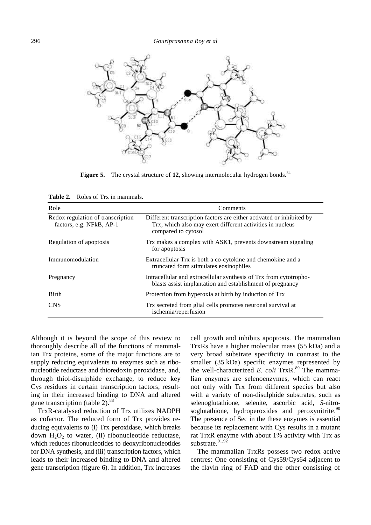

**Figure 5.** The crystal structure of 12, showing intermolecular hydrogen bonds.<sup>84</sup>

**Table 2.** Roles of Trx in mammals.

| Role                                                          | Comments                                                                                                                                                 |
|---------------------------------------------------------------|----------------------------------------------------------------------------------------------------------------------------------------------------------|
| Redox regulation of transcription<br>factors, e.g. NFkB, AP-1 | Different transcription factors are either activated or inhibited by<br>Trx, which also may exert different activities in nucleus<br>compared to cytosol |
| Regulation of apoptosis                                       | Trx makes a complex with ASK1, prevents downstream signaling<br>for apoptosis                                                                            |
| Immunomodulation                                              | Extracellular Trx is both a co-cytokine and chemokine and a<br>truncated form stimulates eosinophiles                                                    |
| Pregnancy                                                     | Intracellular and extracellular synthesis of Trx from cytotropho-<br>blasts assist implantation and establishment of pregnancy                           |
| <b>Birth</b>                                                  | Protection from hyperoxia at birth by induction of Trx                                                                                                   |
| <b>CNS</b>                                                    | Trx secreted from glial cells promotes neuronal survival at<br>ischemia/reperfusion                                                                      |

Although it is beyond the scope of this review to thoroughly describe all of the functions of mammalian Trx proteins, some of the major functions are to supply reducing equivalents to enzymes such as ribonucleotide reductase and thioredoxin peroxidase, and, through thiol-disulphide exchange, to reduce key Cys residues in certain transcription factors, resulting in their increased binding to DNA and altered gene transcription (table 2).<sup>88</sup>

TrxR-catalysed reduction of Trx utilizes NADPH as cofactor. The reduced form of Trx provides reducing equivalents to (i) Trx peroxidase, which breaks down  $H_2O_2$  to water, (ii) ribonucleotide reductase, which reduces ribonucleotides to deoxyribonucleotides for DNA synthesis, and (iii) transcription factors, which leads to their increased binding to DNA and altered gene transcription (figure 6). In addition, Trx increases

cell growth and inhibits apoptosis. The mammalian TrxRs have a higher molecular mass (55 kDa) and a very broad substrate specificity in contrast to the smaller (35 kDa) specific enzymes represented by the well-characterized *E. coli* TrxR.<sup>89</sup> The mammalian enzymes are selenoenzymes, which can react not only with Trx from different species but also with a variety of non-disulphide substrates, such as selenoglutathione, selenite, ascorbic acid, *S*-nitrosoglutathione, hydroperoxides and peroxynitrite. $90$ The presence of Sec in the these enzymes is essential because its replacement with Cys results in a mutant rat TrxR enzyme with about 1% activity with Trx as substrate. $91,92$ 

The mammalian TrxRs possess two redox active centres: One consisting of Cys59/Cys64 adjacent to the flavin ring of FAD and the other consisting of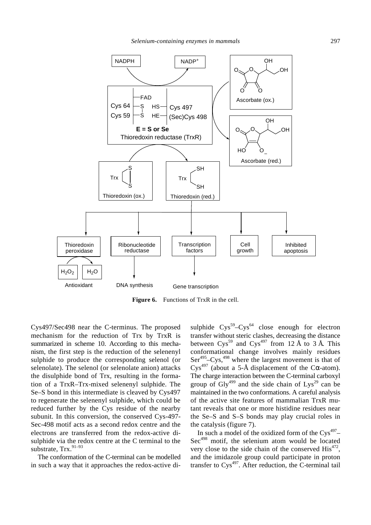

**Figure 6.** Functions of TrxR in the cell.

Cys497/Sec498 near the C-terminus. The proposed mechanism for the reduction of Trx by TrxR is summarized in scheme 10. According to this mechanism, the first step is the reduction of the selenenyl sulphide to produce the corresponding selenol (or selenolate). The selenol (or selenolate anion) attacks the disulphide bond of Trx, resulting in the formation of a TrxR–Trx-mixed selenenyl sulphide. The Se–S bond in this intermediate is cleaved by Cys497 to regenerate the selenenyl sulphide, which could be reduced further by the Cys residue of the nearby subunit. In this conversion, the conserved Cys-497- Sec-498 motif acts as a second redox centre and the electrons are transferred from the redox-active disulphide via the redox centre at the C terminal to the substrate, Trx.<sup>91-93</sup>

The conformation of the C-terminal can be modelled in such a way that it approaches the redox-active di-

sulphide  $Cys^{59} - Cys^{64}$  close enough for electron transfer without steric clashes, decreasing the distance between  $Cys^{59}$  and  $Cys^{497}$  from 12 Å to 3 Å. This conformational change involves mainly residues Ser<sup>495</sup>–Cys,<sup>498</sup> where the largest movement is that of Cys<sup>497</sup> (about a 5-Å displacement of the C*a*-atom). The charge interaction between the C-terminal carboxyl group of  $\text{Gly}^{499}$  and the side chain of Lys<sup>29</sup> can be maintained in the two conformations. A careful analysis of the active site features of mammalian TrxR mutant reveals that one or more histidine residues near the Se–S and S–S bonds may play crucial roles in the catalysis (figure 7).

In such a model of the oxidized form of the  $\text{Cys}^{497}$ -Sec<sup>498</sup> motif, the selenium atom would be located very close to the side chain of the conserved  $\text{His}^{472}$ , and the imidazole group could participate in proton transfer to  $Cys^{497}$ . After reduction, the C-terminal tail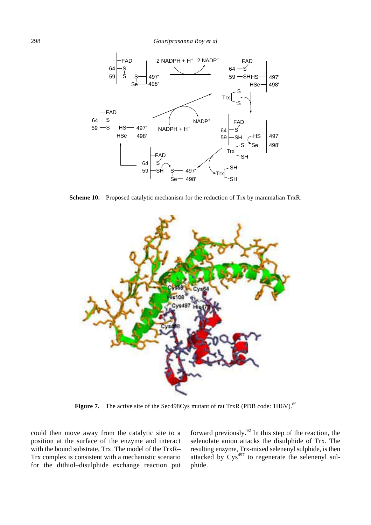298 *Gouriprasanna Roy et al*



**Scheme 10.** Proposed catalytic mechanism for the reduction of Trx by mammalian TrxR.



**Figure 7.** The active site of the Sec498Cys mutant of rat TrxR (PDB code: 1H6V).<sup>85</sup>

could then move away from the catalytic site to a position at the surface of the enzyme and interact with the bound substrate, Trx. The model of the TrxR– Trx complex is consistent with a mechanistic scenario for the dithiol–disulphide exchange reaction put forward previously.<sup>92</sup> In this step of the reaction, the selenolate anion attacks the disulphide of Trx. The resulting enzyme, Trx-mixed selenenyl sulphide, is then attacked by  $Cys^{497}$  to regenerate the selenenyl sulphide.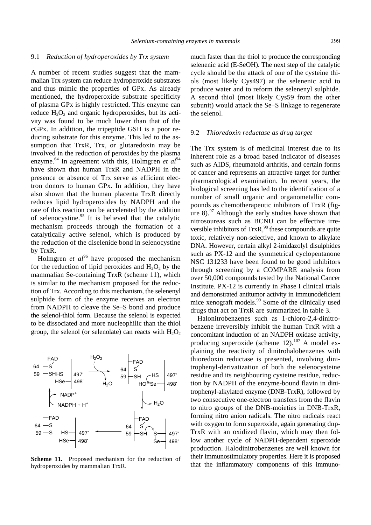#### 9.1 *Reduction of hydroperoxides by Trx system*

A number of recent studies suggest that the mammalian Trx system can reduce hydroperoxide substrates and thus mimic the properties of GPx. As already mentioned, the hydroperoxide substrate specificity of plasma GPx is highly restricted. This enzyme can reduce  $H_2O_2$  and organic hydroperoxides, but its activity was found to be much lower than that of the cGPx. In addition, the tripeptide GSH is a poor reducing substrate for this enzyme. This led to the assumption that TrxR, Trx, or glutaredoxin may be involved in the reduction of peroxides by the plasma enzyme.<sup>64</sup> In agreement with this, Holmgren *et al*<sup>94</sup> have shown that human TrxR and NADPH in the presence or absence of Trx serve as efficient electron donors to human GPx. In addition, they have also shown that the human placenta TrxR directly reduces lipid hydroperoxides by NADPH and the rate of this reaction can be accelerated by the addition of selenocystine.<sup>95</sup> It is believed that the catalytic mechanism proceeds through the formation of a catalytically active selenol, which is produced by the reduction of the diselenide bond in selenocystine by TrxR.

Holmgren *et al*<sup>96</sup> have proposed the mechanism for the reduction of lipid peroxides and  $H_2O_2$  by the mammalian Se-containing TrxR (scheme 11), which is similar to the mechanism proposed for the reduction of Trx. According to this mechanism, the selenenyl sulphide form of the enzyme receives an electron from NADPH to cleave the Se–S bond and produce the selenol-thiol form. Because the selenol is expected to be dissociated and more nucleophilic than the thiol group, the selenol (or selenolate) can reacts with  $H_2O_2$ 



**Scheme 11.** Proposed mechanism for the reduction of hydroperoxides by mammalian TrxR.

much faster than the thiol to produce the corresponding selenenic acid (E-SeOH). The next step of the catalytic cycle should be the attack of one of the cysteine thiols (most likely Cys497) at the selenenic acid to produce water and to reform the selenenyl sulphide. A second thiol (most likely Cys59 from the other subunit) would attack the Se–S linkage to regenerate the selenol.

### 9.2 *Thioredoxin reductase as drug target*

The Trx system is of medicinal interest due to its inherent role as a broad based indicator of diseases such as AIDS, rheumatoid arthritis, and certain forms of cancer and represents an attractive target for further pharmacological examination. In recent years, the biological screening has led to the identification of a number of small organic and organometallic compounds as chemotherapeutic inhibitors of TrxR (figure  $8$ ).<sup>97</sup> Although the early studies have shown that nitrosoureas such as BCNU can be effective irreversible inhibitors of  $TrxR<sub>1</sub><sup>98</sup>$  these compounds are quite toxic, relatively non-selective, and known to alkylate DNA. However, certain alkyl 2-imidazolyl disulphides such as PX-12 and the symmetrical cyclopentanone NSC 131233 have been found to be good inhibitors through screening by a COMPARE analysis from over 50,000 compounds tested by the National Cancer Institute. PX-12 is currently in Phase I clinical trials and demonstrated antitumor activity in immunodeficient mice xenograft models.<sup>99</sup> Some of the clinically used drugs that act on TrxR are summarized in table 3.

Halonitrobenzenes such as 1-chloro-2,4-dinitrobenzene irreversibly inhibit the human TrxR with a concomitant induction of an NADPH oxidase activity, producing superoxide (scheme  $12$ ).<sup>107</sup> A model explaining the reactivity of dinitrohalobenzenes with thioredoxin reductase is presented, involving dinitrophenyl-derivatization of both the selenocysteine residue and its neighbouring cysteine residue, reduction by NADPH of the enzyme-bound flavin in dinitrophenyl-alkylated enzyme (DNB-TrxR), followed by two consecutive one-electron transfers from the flavin to nitro groups of the DNB-moieties in DNB-TrxR, forming nitro anion radicals. The nitro radicals react with oxygen to form superoxide, again generating dnp-TrxR with an oxidized flavin, which may then follow another cycle of NADPH-dependent superoxide production. Halodinitrobenzenes are well known for their immunostimulatory properties. Here it is proposed that the inflammatory components of this immuno-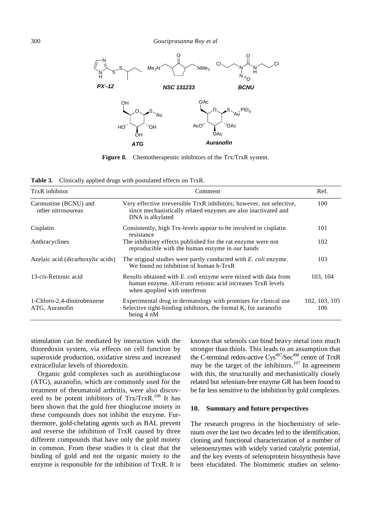

**Figure 8.** Chemotherapeutic inhibitors of the Trx/TrxR system.

**Table 3.** Clinically applied drugs with postulated effects on TrxR.

| TrxR inhibitor                                | Comment                                                                                                                                                                | Ref.                 |
|-----------------------------------------------|------------------------------------------------------------------------------------------------------------------------------------------------------------------------|----------------------|
| Carmustine (BCNU) and<br>other nitrosoureas   | Very effective irreversible TrxR inhibitors; however, not selective,<br>since mechanistically related enzymes are also inactivated and<br>DNA is alkylated             | 100                  |
| Cisplatin                                     | Consistently, high Trx-levels appear to be involved in cisplatin<br>resistance                                                                                         | 101                  |
| Anthracyclines                                | The inhibitory effects published for the rat enzyme were not<br>reproducible with the human enzyme in our hands                                                        | 102                  |
| Azelaic acid (dicarboxylic acids)             | The original studies were partly conducted with E. coli enzyme.<br>We found no inhibition of human h-TrxR                                                              | 103                  |
| 13-cis-Retionic acid                          | Results obtained with E. coli enzyme were mixed with data from<br>human enzyme. All- <i>trans</i> retionic acid increases TrxR levels<br>when apoplied with interferon | 103, 104             |
| 1-Chloro-2,4-dinitrobenzene<br>ATG, Auranofin | Experimental drug in dermatology with promises for clinical use<br>Selective tight-binding inhibitors, the formal $K_i$ for auranofin<br>being 4 nM                    | 102, 103, 105<br>106 |

stimulation can be mediated by interaction with the thioredoxin system, via effects on cell function by superoxide production, oxidative stress and increased extracellular levels of thioredoxin.

Organic gold complexes such as aurothioglucose (ATG), auranofin, which are commonly used for the treatment of rheumatoid arthritis, were also discovered to be potent inhibitors of  $Trx/TrxR$ .<sup>106</sup> It has been shown that the gold free thioglucose moiety in these compounds does not inhibit the enzyme. Furthermore, gold-chelating agents such as BAL prevent and reverse the inhibition of TrxR caused by three different compounds that have only the gold moiety in common. From these studies it is clear that the binding of gold and not the organic moiety to the enzyme is responsible for the inhibition of TrxR. It is

known that selenols can bind heavy metal ions much stronger than thiols. This leads to an assumption that the C-terminal redox-active Cys<sup>497</sup>/Sec<sup>498</sup> centre of TrxR may be the target of the inhibitors.<sup>107</sup> In agreement with this, the structurally and mechanistically closely related but selenium-free enzyme GR has been found to be far less sensitive to the inhibition by gold complexes.

#### **10. Summary and future perspectives**

The research progress in the biochemistry of selenium over the last two decades led to the identification, cloning and functional characterization of a number of selenoenzymes with widely varied catalytic potential, and the key events of selenoprotein biosynthesis have been elucidated. The biomimetic studies on seleno-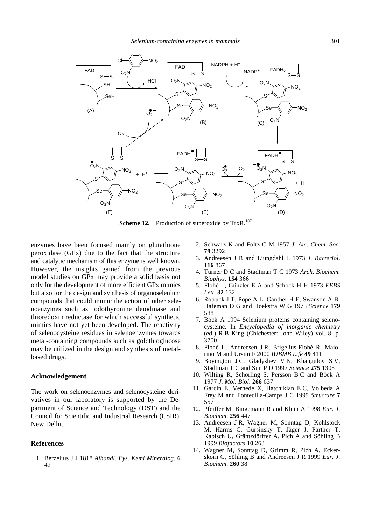

**Scheme 12.** Production of superoxide by TrxR.<sup>107</sup>

enzymes have been focused mainly on glutathione peroxidase (GPx) due to the fact that the structure and catalytic mechanism of this enzyme is well known. However, the insights gained from the previous model studies on GPx may provide a solid basis not only for the development of more efficient GPx mimics but also for the design and synthesis of organoselenium compounds that could mimic the action of other selenoenzymes such as iodothyronine deiodinase and thioredoxin reductase for which successful synthetic mimics have not yet been developed. The reactivity of selenocysteine residues in selenoenzymes towards metal-containing compounds such as goldthioglucose may be utilized in the design and synthesis of metalbased drugs.

#### **Acknowledgement**

The work on selenoenzymes and selenocysteine derivatives in our laboratory is supported by the Department of Science and Technology (DST) and the Council for Scientific and Industrial Research (CSIR), New Delhi.

## **References**

1. Berzelius J J 1818 *Afhandl. Fys. Kemi Mineralog*. **6**  $42$ 

- 2. Schwarz K and Foltz C M 1957 *J. Am. Chem. Soc.* **79** 3292
- 3. Andreesen J R and Ljungdahl L 1973 *J. Bacteriol*. **116** 867
- 4. Turner D C and Stadtman T C 1973 *Arch. Biochem. Biophys*. **154** 366
- 5. Flohé L, Günzler E A and Schock H H 1973 *FEBS Lett*. **32** 132
- 6. Rotruck J T, Pope A L, Ganther H E, Swanson A B, Hafeman D G and Hoekstra W G 1973 *Science* **179** 588
- 7. Böck A 1994 Selenium proteins containing selenocysteine. In *Encyclopedia of inorganic chemistry* (ed.) R B King (Chichester: John Wiley) vol. 8, p. 3700
- 8. Flohé L, Andreesen J R, Brigelius-Flohé R, Maiorino M and Ursini F 2000 *IUBMB Life* **49** 411
- 9. Boyington J C, Gladyshev V N, Khangulov S V, Stadtman T C and Sun P D 1997 *Science* **275** 1305
- 10. Wilting R, Schorling S, Persson B C and Böck A 1977 *J. Mol. Biol*. **266** 637
- 11. Garcin E, Vernede X, Hatchikian E C, Volbeda A Frey M and Fontecilla-Camps J C 1999 *Structure* **7** 557
- 12. Pfeiffer M, Bingemann R and Klein A 1998 *Eur. J. Biochem*. **256** 447
- 13. Andreesen J R, Wagner M, Sonntag D, Kohlstock M, Harms C, Gursinsky T, Jäger J, Parther T, Kabisch U, Gräntzdörffer A, Pich A and Söhling B 1999 *Biofactors* **10** 263
- 14. Wagner M, Sonntag D, Grimm R, Pich A, Eckerskorn C, Söhling B and Andreesen J R 1999 *Eur. J. Biochem*. **260** 38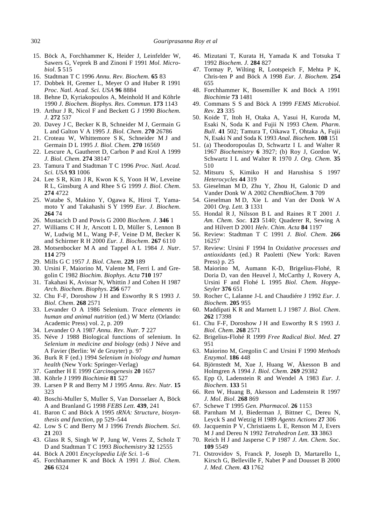- 15. Böck A, Forchhammer K, Heider J, Leinfelder W, Sawers G, Veprek B and Zinoni F 1991 *Mol. Microbiol*. **5** 515
- 16. Stadtman T C 1996 *Annu. Rev. Biochem.* **65** 83
- 17. Dobbek H, Gremer L, Meyer O and Huber R 1991 *Proc. Natl. Acad. Sci. USA* **96** 8884
- 18. Behne D, Kyriakopoulos A, Meinhold H and Köhrle 1990 *J. Biochem. Biophys. Res. Commun*. **173** 1143
- 19. Arthur J R, Nicol F and Beckett G J 1990 *Biochem. J*. **272** 537
- 20. Davey J C, Becker K B, Schneider M J, Germain G L and Galton V A 1995 *J. Biol. Chem*. **270** 26786
- 21. Croteau W, Whittemore S K, Schneider M J and Germain D L 1995 *J. Biol. Chem*. **270** 16569
- 22. Lescure A, Gautheret D, Carbon P and Krol A 1999 *J. Biol. Chem*. **274** 38147
- 23. Tamura T and Stadtman T C 1996 *Proc. Natl. Acad. Sci. USA* **93** 1006
- 24. Lee S R, Kim J R, Kwon K S, Yoon H W, Leveine R L, Ginsburg A and Rhee S G 1999 *J. Biol. Chem*. **274** 4722
- 25. Watabe S, Makino Y, Ogawa K, Hiroi T, Yamamoto Y and Takahashi S Y 1999 *Eur. J. Biochem*. **264** 74
- 26. Mustacich D and Powis G 2000 *Biochem. J*. **346** 1
- 27. Williams C H Jr, Arscott L D, Müller S, Lennon B W, Ludwig M L, Wang P-F, Veine D M, Becker K and Schirmer R H 2000 *Eur. J. Biochem*. **267** 6110
- 28. Motsenbocker M A and Tappel A L 1984 *J. Nutr*. **114** 279
- 29. Mills G C 1957 *J. Biol. Chem*. **229** 189
- 30. Ursini F, Maiorino M, Valente M, Ferri L and Gregolin C 1982 *Biochim. Biophys. Acta* **710** 197
- 31. Takahasi K, Avissar N, Whittin J and Cohen H 1987 *Arch. Biochem. Biophys*. **256** 677
- 32. Chu F-F, Doroshow J H and Esworthy R S 1993 *J. Biol. Chem*. **268** 2571
- 33. Levander O A 1986 Selenium. *Trace elements in human and animal nutrition* (ed.) W Mertz (Orlando: Academic Press) vol. 2, p. 209
- 34. Levander O A 1987 *Annu. Rev. Nutr.* **7** 227
- 35. Néve J 1988 Biological functions of selenium. In *Selenium in medicine and biology* (eds) J Néve and A Favier (Berlin: W de Gruyter) p. 97
- 36. Burk R F (ed.) 1994 *Selenium in biology and human health* (New York: Springer-Verlag)
- 37. Ganther H E 1999 *Carcinogenesis* **20** 1657
- 38. Köhrle J 1999 *Biochimie* **81** 527
- 39. Larsen P R and Berry M J 1995 *Annu. Rev. Nutr.* **15** 323
- 40. Boschi-Muller S, Muller S, Van Dorsselaer A, Böck A and Branland G 1998 *FEBS Lett.* **439**, 241
- 41. Baron C and Böck A 1995 *tRNA: Structure, biosynthesis and function*, pp 529–544
- 42. Low S C and Berry M J 1996 *Trends Biochem. Sci.* **21** 203
- 43. Glass R S, Singh W P, Jung W, Veres Z, Scholz T D and Stadtman T C 1993 *Biochemistry* **32** 12555
- 44. Böck A 2001 *Encyclopedia Life Sci.* 1–6
- 45. Forchhammer K and Böck A 1991 *J. Biol. Chem.* **266** 6324
- 46. Mizutani T, Kurata H, Yamada K and Totsuka T 1992 *Biochem. J.* **284** 827
- 47. Tormay P, Wilting R, Lootspeich F, Mehta P K, Chris-ten P and Böck A 1998 *Eur. J. Biochem.* **254** 655
- 48. Forchhammer K, Bosemiller K and Böck A 1991 *Biochimie* **73** 1481
- 49. Commans S S and Böck A 1999 *FEMS Microbiol. Rev.* **23** 335
- 50. Koide T, Itoh H, Otaka A, Yasui H, Kuroda M, Esaki N, Soda K and Fujii N 1993 *Chem. Pharm. Bull*. **41** 502; Tamura T, Oikawa T, Ohtaka A, Fujii N, Esaki N and Soda K 1993 *Anal. Biochem.* **108** 151
- 51. (a) Theodoropoulas D, Schwartz I L and Walter R 1967 *Biochemistry* **6** 3927; (b) Roy J, Gordon W, Schwartz I L and Walter R 1970 *J. Org. Chem.* **35** 510
- 52. Mitsuru S, Kimiko H and Harushisa S 1997 *Heterocycles* **44** 319
- 53. Gieselman M D, Zhu Y, Zhou H, Galonic D and Vander Donk W A 2002 *ChemBioChem*. **3** 709
- 54. Gieselman M D, Xie L and Van der Donk W A 2001 *Org. Lett.* **3** 1331
- 55. Hondal R J, Nilsson B L and Raines R T 2001 *J. Am. Chem. Soc.* **123** 5140; Quaderer R, Sewing A and Hilvert D 2001 *Helv. Chim. Acta* **84** 1197
- 56. Review: Stadtman T C 1991 *J. Biol. Chem*. **266** 16257
- 57. Review: Ursini F 1994 In *Oxidative processes and antioxidants* (ed.) R Paoletti (New York: Raven Press) p. 25
- 58. Maiorino M, Aumann K-D, Brigelius-Flohé, R Doria D, van den Heuvel J, McCarthy J, Rovery A, Ursini F and Flohé L 1995 *Biol. Chem. Hoppe-Seyler* **376** 651
- 59. Rocher C, Lalanne J-L and Chaudiére J 1992 *Eur. J. Biochem*. **205** 955
- 60. Maddipati K R and Marnett L J 1987 *J. Biol. Chem*. **262** 17398
- 61. Chu F-F, Doroshow J H and Esworthy R S 1993 *J. Biol. Chem*. **268** 2571
- 62. Brigelius-Flohé R 1999 *Free Radical Biol. Med*. **27** 951
- 63. Maiorino M, Gregolin C and Ursini F 1990 *Methods Enzymol*. **186** 448
- 64. Björnstedt M, Xue J, Huang W, Åkesson B and Holmgren A 1994 *J. Biol. Chem.* **269** 29382
- 65. Epp O, Ladenstein R and Wendel A 1983 *Eur. J. Biochem*. **133** 51
- 66. Ren W, Huang B, Akesson and Ladenstein R 1997 *J. Mol. Biol.* **268** 869
- 67. Schewe T 1995 *Gen. Pharmacol*. **26** 1153
- 68. Parnham M J, Biederman J, Bittner C, Dereu N, Leyck S and Wetzig H 1989 *Agents Actions* **27** 306
- 69. Jacquemin P V, Christiaens L E, Renson M J, Evers M J and Dereu N 1992 *Tetrahedron Lett*. **33** 3863
- 70. Reich H J and Jasperse C P 1987 *J. Am. Chem. Soc*. **109** 5549
- 71. Ostrovidov S, Franck P, Joseph D, Martarello L, Kirsch G, Belleville F, Nabet P and Dousset B 2000 *J. Med. Chem*. **43** 1762